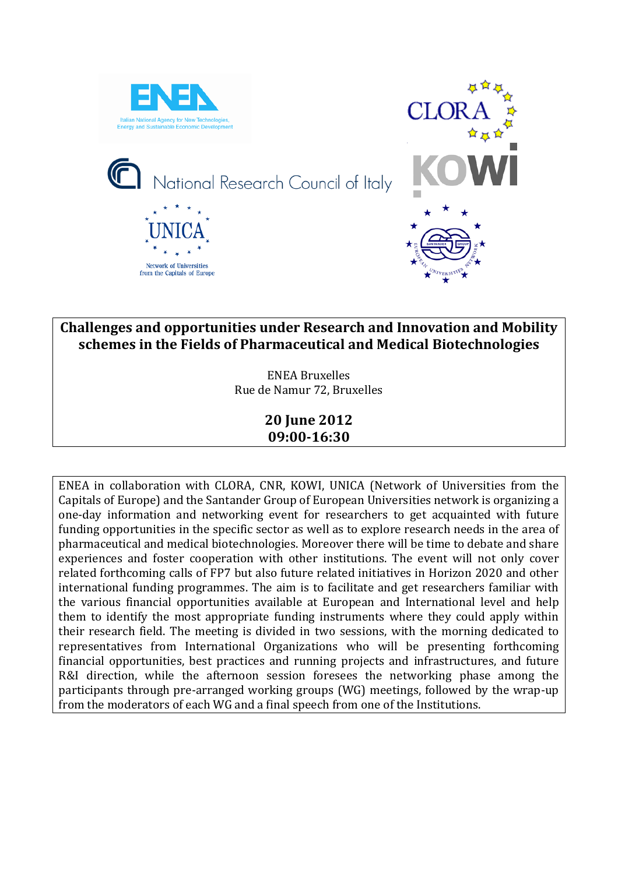

# **Challenges and opportunities under Research and Innovation and Mobility schemes in the Fields of Pharmaceutical and Medical Biotechnologies**

ENEA Bruxelles Rue de Namur 72, Bruxelles

## **20 June 2012 09:00-16:30**

ENEA in collaboration with CLORA, CNR, KOWI, UNICA (Network of Universities from the Capitals of Europe) and the Santander Group of European Universities network is organizing a one-day information and networking event for researchers to get acquainted with future funding opportunities in the specific sector as well as to explore research needs in the area of pharmaceutical and medical biotechnologies. Moreover there will be time to debate and share experiences and foster cooperation with other institutions. The event will not only cover related forthcoming calls of FP7 but also future related initiatives in Horizon 2020 and other international funding programmes. The aim is to facilitate and get researchers familiar with the various financial opportunities available at European and International level and help them to identify the most appropriate funding instruments where they could apply within their research field. The meeting is divided in two sessions, with the morning dedicated to representatives from International Organizations who will be presenting forthcoming financial opportunities, best practices and running projects and infrastructures, and future R&I direction, while the afternoon session foresees the networking phase among the participants through pre-arranged working groups (WG) meetings, followed by the wrap-up from the moderators of each WG and a final speech from one of the Institutions.